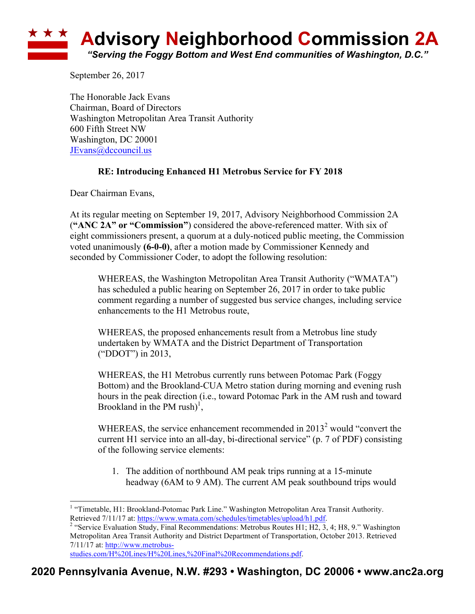## **Advisory Neighborhood Commission 2A** *"Serving the Foggy Bottom and West End communities of Washington, D.C."*

September 26, 2017

The Honorable Jack Evans Chairman, Board of Directors Washington Metropolitan Area Transit Authority 600 Fifth Street NW Washington, DC 20001 JEvans@dccouncil.us

## **RE: Introducing Enhanced H1 Metrobus Service for FY 2018**

Dear Chairman Evans,

At its regular meeting on September 19, 2017, Advisory Neighborhood Commission 2A (**"ANC 2A" or "Commission"**) considered the above-referenced matter. With six of eight commissioners present, a quorum at a duly-noticed public meeting, the Commission voted unanimously **(6-0-0)**, after a motion made by Commissioner Kennedy and seconded by Commissioner Coder, to adopt the following resolution:

WHEREAS, the Washington Metropolitan Area Transit Authority ("WMATA") has scheduled a public hearing on September 26, 2017 in order to take public comment regarding a number of suggested bus service changes, including service enhancements to the H1 Metrobus route,

WHEREAS, the proposed enhancements result from a Metrobus line study undertaken by WMATA and the District Department of Transportation ("DDOT") in 2013,

WHEREAS, the H1 Metrobus currently runs between Potomac Park (Foggy Bottom) and the Brookland-CUA Metro station during morning and evening rush hours in the peak direction (i.e., toward Potomac Park in the AM rush and toward Brookland in the PM rush $)^{1}$ ,

WHEREAS, the service enhancement recommended in  $2013<sup>2</sup>$  would "convert the current H1 service into an all-day, bi-directional service" (p. 7 of PDF) consisting of the following service elements:

1. The addition of northbound AM peak trips running at a 15-minute headway (6AM to 9 AM). The current AM peak southbound trips would

studies.com/H%20Lines/H%20Lines,%20Final%20Recommendations.pdf.

<sup>&</sup>lt;sup>1</sup> "Timetable, H1: Brookland-Potomac Park Line." Washington Metropolitan Area Transit Authority. Retrieved 7/11/17 at: https://www.wmata.com/schedules/timetables/upload/h1.pdf.<br><sup>2</sup> "Service Evaluation Study, Final Recommendations: Metrobus Routes H1; H2, 3, 4; H8, 9." Washington

Metropolitan Area Transit Authority and District Department of Transportation, October 2013. Retrieved 7/11/17 at: http://www.metrobus-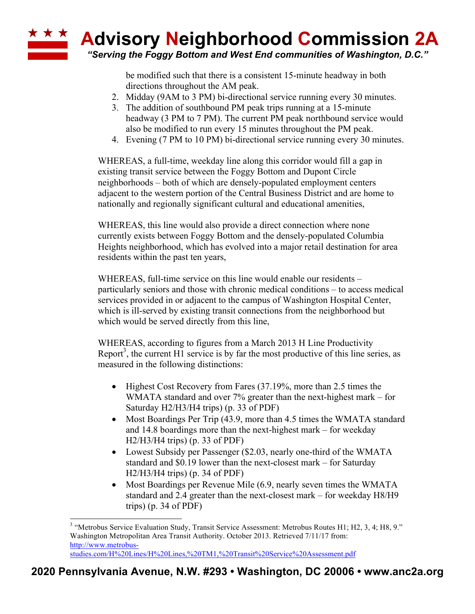

*"Serving the Foggy Bottom and West End communities of Washington, D.C."*

be modified such that there is a consistent 15-minute headway in both directions throughout the AM peak.

- 2. Midday (9AM to 3 PM) bi-directional service running every 30 minutes.
- 3. The addition of southbound PM peak trips running at a 15-minute headway (3 PM to 7 PM). The current PM peak northbound service would also be modified to run every 15 minutes throughout the PM peak.
- 4. Evening (7 PM to 10 PM) bi-directional service running every 30 minutes.

WHEREAS, a full-time, weekday line along this corridor would fill a gap in existing transit service between the Foggy Bottom and Dupont Circle neighborhoods – both of which are densely-populated employment centers adjacent to the western portion of the Central Business District and are home to nationally and regionally significant cultural and educational amenities,

WHEREAS, this line would also provide a direct connection where none currently exists between Foggy Bottom and the densely-populated Columbia Heights neighborhood, which has evolved into a major retail destination for area residents within the past ten years,

WHEREAS, full-time service on this line would enable our residents – particularly seniors and those with chronic medical conditions – to access medical services provided in or adjacent to the campus of Washington Hospital Center, which is ill-served by existing transit connections from the neighborhood but which would be served directly from this line,

WHEREAS, according to figures from a March 2013 H Line Productivity Report<sup>3</sup>, the current H1 service is by far the most productive of this line series, as measured in the following distinctions:

- Highest Cost Recovery from Fares (37.19%, more than 2.5 times the WMATA standard and over 7% greater than the next-highest mark – for Saturday H2/H3/H4 trips) (p. 33 of PDF)
- Most Boardings Per Trip (43.9, more than 4.5 times the WMATA standard and 14.8 boardings more than the next-highest mark – for weekday H2/H3/H4 trips) (p. 33 of PDF)
- Lowest Subsidy per Passenger (\$2.03, nearly one-third of the WMATA standard and \$0.19 lower than the next-closest mark – for Saturday H2/H3/H4 trips) (p. 34 of PDF)
- Most Boardings per Revenue Mile (6.9, nearly seven times the WMATA standard and 2.4 greater than the next-closest mark – for weekday H8/H9 trips) (p. 34 of PDF)

 <sup>3</sup> "Metrobus Service Evaluation Study, Transit Service Assessment: Metrobus Routes H1; H2, 3, 4; H8, 9." Washington Metropolitan Area Transit Authority. October 2013. Retrieved 7/11/17 from: http://www.metrobusstudies.com/H%20Lines/H%20Lines,%20TM1,%20Transit%20Service%20Assessment.pdf